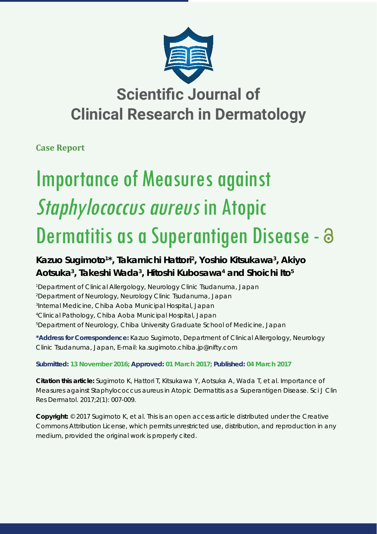

# **Scientific Journal of Clinical Research in Dermatology**

**Case Report**

# Importance of Measures against Staphylococcus aureus in Atopic Dermatitis as a Superantigen Disease - 3

## **Kazuo Sugimoto1 \*, Takamichi Hattori2 , Yoshio Kitsukawa3 , Akiyo Aotsuka3 , Takeshi Wada3 , Hitoshi Kubosawa4 and Shoichi Ito5**

 *Department of Clinical Allergology, Neurology Clinic Tsudanuma, Japan Department of Neurology, Neurology Clinic Tsudanuma, Japan Internal Medicine, Chiba Aoba Municipal Hospital, Japan Clinical Pathology, Chiba Aoba Municipal Hospital, Japan Department of Neurology, Chiba University Graduate School of Medicine, Japan*

**\*Address for Correspondence:** Kazuo Sugimoto, Department of Clinical Allergology, Neurology Clinic Tsudanuma, Japan, E-mail: ka.sugimoto.chiba.jp@nifty.com

### **Submitted: 13 November 2016; Approved: 01 March 2017; Published: 04 March 2017**

**Citation this article:** Sugimoto K, Hattori T, Kitsukawa Y, Aotsuka A, Wada T, et al. Importance of Measures against *Staphylococcus aureus* in Atopic Dermatitis as a Superantigen Disease. Sci J Clin Res Dermatol. 2017;2(1): 007-009.

**Copyright:** © 2017 Sugimoto K, et al. This is an open access article distributed under the Creative Commons Attribution License, which permits unrestricted use, distribution, and reproduction in any medium, provided the original work is properly cited.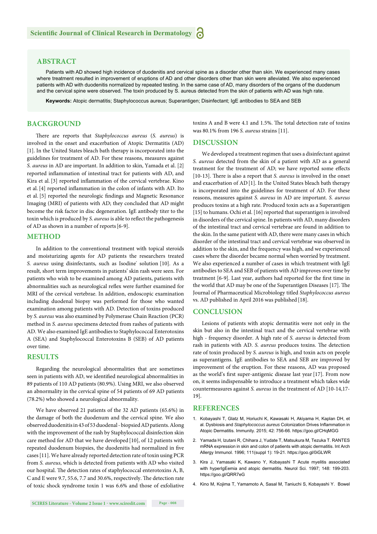#### **ABSTRACT**

Patients with AD showed high incidence of duodenitis and cervical spine as a disorder other than skin. We experienced many cases where treatment resulted in improvement of eruptions of AD and other disorders other than skin were alleviated. We also experienced patients with AD with duodenitis normalized by repeated testing. In the same case of AD, many disorders of the organs of the duodenum and the cervical spine were observed. The toxin produced by S. aureus detected from the skin of patients with AD was high rate.

**Keywords:** Atopic dermatitis; Staphylococcus aureus; Superantigen; Disinfectant; IgE antibodies to SEA and SEB

#### **BACKGROUND**

There are reports that *Staphylococcus aureus* (*S. aureus*) is involved in the onset and exacerbation of Atopic Dermatitis (AD) [1]. In the United States bleach bath therapy is incorporated into the guidelines for treatment of AD. For these reasons, measures against *S. aureus* in AD are important. In addition to skin, Yamada et al. [2] reported inflammation of intestinal tract for patients with AD, and Kira et al. [3] reported inflammation of the cervical vertebrae. Kino et al. [4] reported inflammation in the colon of infants with AD. Ito et al. [5] reported the neurologic findings and Magnetic Resonance Imaging (MRI) of patients with AD; they concluded that AD might become the risk factor in disc degeneration. IgE antibody titer to the toxin which is produced by *S. aureus* is able to reflect the pathogenesis of AD as shown in a number of reports[6-9].

#### **METHOD**

In addition to the conventional treatment with topical steroids and moisturizing agents for AD patients the researchers treated S. aureus using disinfectants, such as Isodine<sup>®</sup> solution [10]. As a result, short term improvements in patients' skin rash were seen. For patients who wish to be examined among AD patients, patients with abnormalities such as neurological reflex were further examined for MRI of the cervical vertebrae. In addition, endoscopic examination including duodenal biopsy was performed for those who wanted examination among patients with AD. Detection of toxins produced by *S. aureus* was also examined by Polymerase Chain Reaction (PCR) method in *S. aureus* specimens detected from rashes of patients with AD. We also examined IgE antibodies to Staphylococcal Enterotoxins A (SEA) and Staphylococcal Enterotoxins B (SEB) of AD patients over time.

#### **RESULTS**

Regarding the neurological abnormalities that are sometimes seen in patients with AD, we identified neurological abnormalities in 89 patients of 110 AD patients (80.9%). Using MRI, we also observed an abnormality in the cervical spine of 54 patients of 69 AD patients (78.2%) who showed a neurological abnormality.

We have observed 21 patients of the 32 AD patients (65.6%) in the damage of both the duodenum and the cervical spine. We also observed duodenitis in 43 of 53 duodenal - biopsied AD patients. Along with the improvement of the rash by Staphylococcal disinfection skin care method for AD that we have developed [10], of 12 patients with repeated duodenum biopsies, the duodenitis had normalized in five cases [11]. We have already reported detection rate of toxin using PCR from *S. aureus*, which is detected from patients with AD who visited our hospital. The detection rates of staphylococcal enterotoxins A, B, C and E were 9.7, 55.6, 7.7 and 30.6%, respectively. The detection rate of toxic shock syndrome toxin 1 was 6.6% and those of exfoliative toxins A and B were 4.1 and 1.5%. The total detection rate of toxins was 80.1% from 196 *S. aureus* strains [11].

#### **DISCUSSION**

We developed a treatment regimen that uses a disinfectant against *S. aureus* detected from the skin of a patient with AD as a general treatment for the treatment of AD; we have reported some effects [10-13]. There is also a report that *S. aureus* is involved in the onset and exacerbation of AD[1]. In the United States bleach bath therapy is incorporated into the guidelines for treatment of AD. For these reasons, measures against *S. aureus* in AD are important. *S. aureus* produces toxins at a high rate. Produced toxin acts as a Superantigen [15] to humans. Ochi et al. [16] reported that superantigen is involved in disorders of the cervical spine. In patients with AD, many disorders of the intestinal tract and cervical vertebrae are found in addition to the skin. In the same patient with AD, there were many cases in which disorder of the intestinal tract and cervical vertebrae was observed in addition to the skin, and the frequency was high, and we experienced cases where the disorder became normal when worried by treatment. We also experienced a number of cases in which treatment with IgE antibodies to SEA and SEB of patients with AD improves over time by treatment [6-9]. Last year, authors had reported for the first time in the world that AD may be one of the Superantigen Diseases [17]. The Journal of Pharmaceutical Microbiology titled *Staphylococcus aureus*  vs. AD published in April 2016 was published [18].

#### **CONCLUSION**

Lesions of patients with atopic dermatitis were not only in the skin but also in the intestinal tract and the cervical vertebrae with high - frequency disorder. A high rate of *S. aureus* is detected from rash in patients with AD. *S. aureus* produces toxins. The detection rate of toxin produced by *S. aureus* is high, and toxin acts on people as superantigens. IgE antibodies to SEA and SEB are improved by improvement of the eruption. For these reasons, AD was proposed as the world's first super-antigenic disease last year [17]. From now on, it seems indispensable to introduce a treatment which takes wide countermeasures against *S. aureus* in the treatment of AD [10-14,17- 19].

#### **REFERENCES**

- 1. Kobayashi T, Glatz M, Horiuchi K, Kawasaki H, Akiyama H, Kaplan DH, et al. Dysbiosis and Staphylococcus aureus Colonization Drives Inflammation in Atopic Dermatitis. Immunity. 2015; 42: 756-66. https://goo.gl/CHqMGG
- 2. Yamada H, Izutani R, Chihara J, Yudate T, Matsukura M, Tezuka T. RANTES mRNA expression in skin and colon of patients with atopic dermatitis. Int Arch Allergy Immunol. 1996; 111(suppl 1): 19-21. https://goo.gl/0iGLWR
- 3. Kira J, Yamasaki K, Kawano Y, Kobayashi T Acute myelitis associated with hyperIgEemia and atopic dermatitis. Neurol Sci. 1997; 148: 199-203. https://goo.gl/QRR7eG
- 4. Kino M, Kojima T, Yamamoto A, Sasal M, Taniuchi S, Kobayashi Y. Bowel